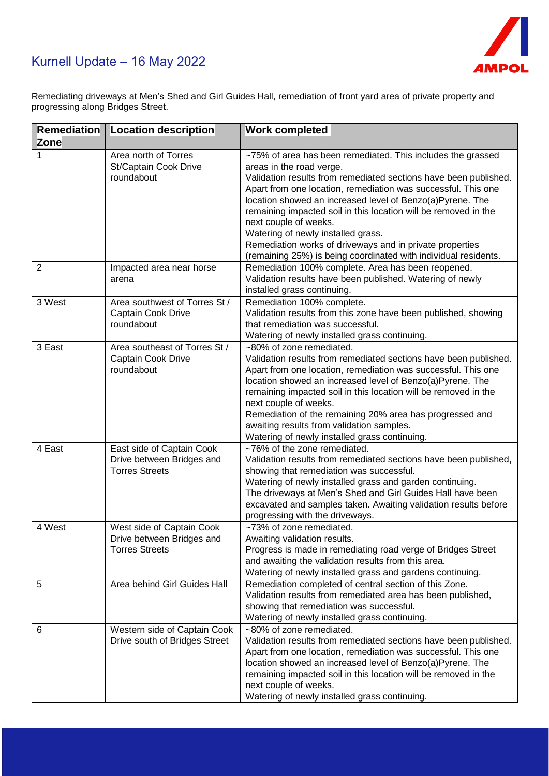## Kurnell Update – 16 May 2022



Remediating driveways at Men's Shed and Girl Guides Hall, remediation of front yard area of private property and progressing along Bridges Street.

| <b>Remediation</b><br><b>Zone</b> | <b>Location description</b>                                                     | <b>Work completed</b>                                                                                                                                                                                                                                                                                                                                                                                                                                                                                                                                      |
|-----------------------------------|---------------------------------------------------------------------------------|------------------------------------------------------------------------------------------------------------------------------------------------------------------------------------------------------------------------------------------------------------------------------------------------------------------------------------------------------------------------------------------------------------------------------------------------------------------------------------------------------------------------------------------------------------|
| 1                                 | Area north of Torres<br>St/Captain Cook Drive<br>roundabout                     | ~75% of area has been remediated. This includes the grassed<br>areas in the road verge.<br>Validation results from remediated sections have been published.<br>Apart from one location, remediation was successful. This one<br>location showed an increased level of Benzo(a)Pyrene. The<br>remaining impacted soil in this location will be removed in the<br>next couple of weeks.<br>Watering of newly installed grass.<br>Remediation works of driveways and in private properties<br>(remaining 25%) is being coordinated with individual residents. |
| $\overline{2}$                    | Impacted area near horse<br>arena                                               | Remediation 100% complete. Area has been reopened.<br>Validation results have been published. Watering of newly<br>installed grass continuing.                                                                                                                                                                                                                                                                                                                                                                                                             |
| 3 West                            | Area southwest of Torres St /<br>Captain Cook Drive<br>roundabout               | Remediation 100% complete.<br>Validation results from this zone have been published, showing<br>that remediation was successful.<br>Watering of newly installed grass continuing.                                                                                                                                                                                                                                                                                                                                                                          |
| 3 East                            | Area southeast of Torres St /<br>Captain Cook Drive<br>roundabout               | ~80% of zone remediated.<br>Validation results from remediated sections have been published.<br>Apart from one location, remediation was successful. This one<br>location showed an increased level of Benzo(a)Pyrene. The<br>remaining impacted soil in this location will be removed in the<br>next couple of weeks.<br>Remediation of the remaining 20% area has progressed and<br>awaiting results from validation samples.<br>Watering of newly installed grass continuing.                                                                           |
| 4 East                            | East side of Captain Cook<br>Drive between Bridges and<br><b>Torres Streets</b> | ~76% of the zone remediated.<br>Validation results from remediated sections have been published,<br>showing that remediation was successful.<br>Watering of newly installed grass and garden continuing.<br>The driveways at Men's Shed and Girl Guides Hall have been<br>excavated and samples taken. Awaiting validation results before<br>progressing with the driveways.                                                                                                                                                                               |
| $\overline{4}$ West               | West side of Captain Cook<br>Drive between Bridges and<br><b>Torres Streets</b> | ~73% of zone remediated.<br>Awaiting validation results.<br>Progress is made in remediating road verge of Bridges Street<br>and awaiting the validation results from this area.<br>Watering of newly installed grass and gardens continuing.                                                                                                                                                                                                                                                                                                               |
| 5                                 | Area behind Girl Guides Hall                                                    | Remediation completed of central section of this Zone.<br>Validation results from remediated area has been published,<br>showing that remediation was successful.<br>Watering of newly installed grass continuing.                                                                                                                                                                                                                                                                                                                                         |
| 6                                 | Western side of Captain Cook<br>Drive south of Bridges Street                   | ~80% of zone remediated.<br>Validation results from remediated sections have been published.<br>Apart from one location, remediation was successful. This one<br>location showed an increased level of Benzo(a)Pyrene. The<br>remaining impacted soil in this location will be removed in the<br>next couple of weeks.<br>Watering of newly installed grass continuing.                                                                                                                                                                                    |